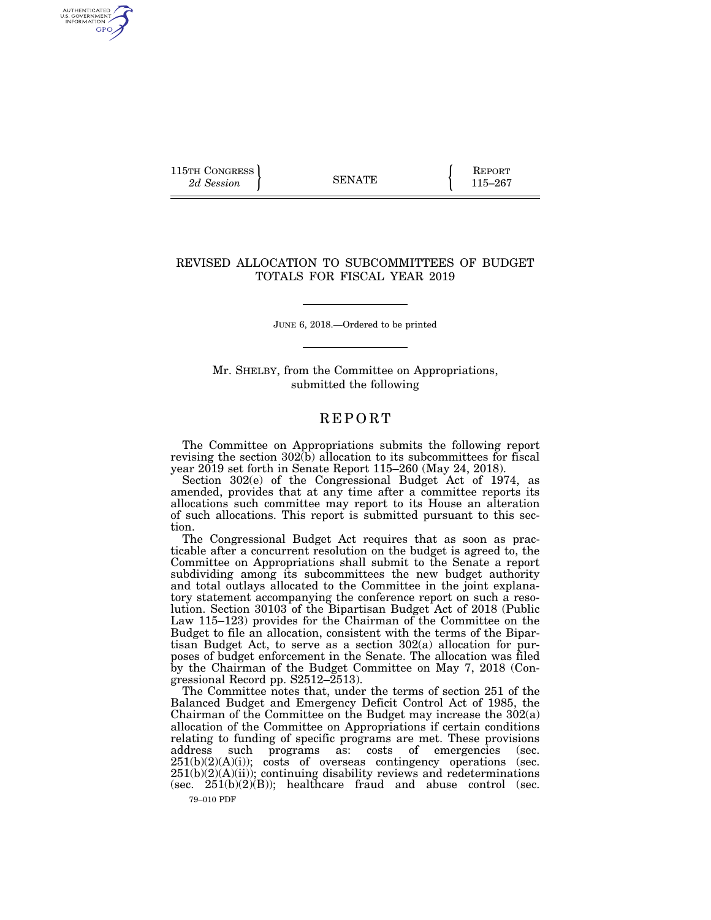115TH CONGRESS **REPORT** 2d Session **115–267** 

AUTHENTICATED<br>U.S. GOVERNMENT<br>INFORMATION GPO

## REVISED ALLOCATION TO SUBCOMMITTEES OF BUDGET TOTALS FOR FISCAL YEAR 2019

JUNE 6, 2018.—Ordered to be printed

Mr. SHELBY, from the Committee on Appropriations, submitted the following

## **REPORT**

The Committee on Appropriations submits the following report revising the section  $302(b)$  allocation to its subcommittees for fiscal year 2019 set forth in Senate Report 115–260 (May 24, 2018).

Section 302(e) of the Congressional Budget Act of 1974, as amended, provides that at any time after a committee reports its allocations such committee may report to its House an alteration of such allocations. This report is submitted pursuant to this section.

The Congressional Budget Act requires that as soon as practicable after a concurrent resolution on the budget is agreed to, the Committee on Appropriations shall submit to the Senate a report subdividing among its subcommittees the new budget authority and total outlays allocated to the Committee in the joint explanatory statement accompanying the conference report on such a resolution. Section 30103 of the Bipartisan Budget Act of 2018 (Public Law 115–123) provides for the Chairman of the Committee on the Budget to file an allocation, consistent with the terms of the Bipartisan Budget Act, to serve as a section 302(a) allocation for purposes of budget enforcement in the Senate. The allocation was filed by the Chairman of the Budget Committee on May 7, 2018 (Congressional Record pp. S2512–2513).

The Committee notes that, under the terms of section 251 of the Balanced Budget and Emergency Deficit Control Act of 1985, the Chairman of the Committee on the Budget may increase the 302(a) allocation of the Committee on Appropriations if certain conditions relating to funding of specific programs are met. These provisions address such programs as: costs of emergencies (sec.  $251(b)(2)(A)(i)$ ; costs of overseas contingency operations (sec.  $251(b)(2)(A)(ii)$ ; continuing disability reviews and redeterminations (sec.  $251(b)(2)(B)$ ); healthcare fraud and abuse control (sec.

79–010 PDF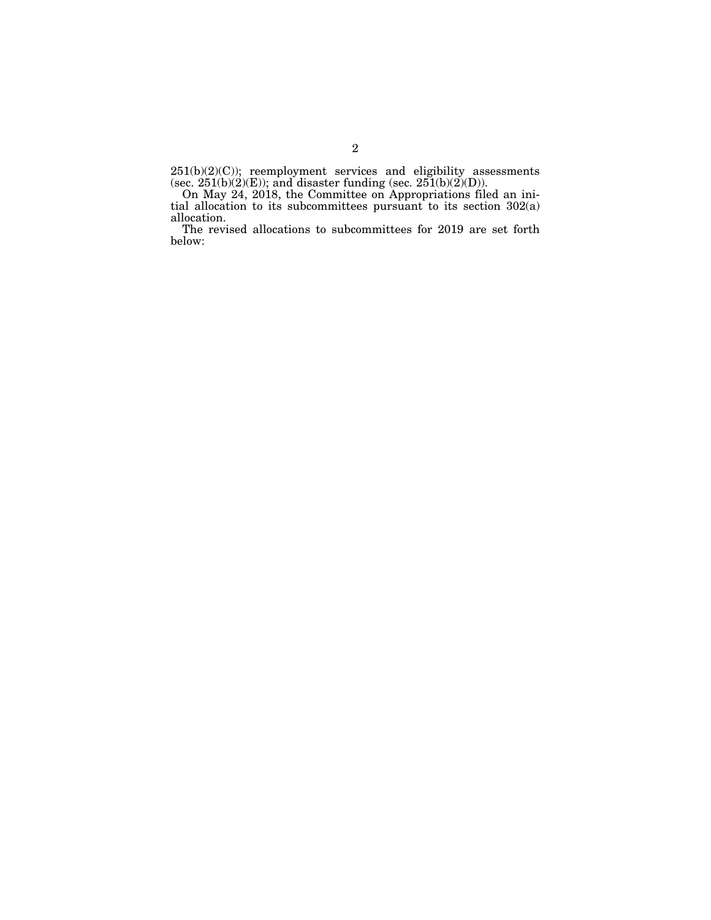$251(b)(2)(C)$ ; reemployment services and eligibility assessments (sec.  $251(b)(2)(E)$ ); and disaster funding (sec.  $251(b)(2)(D)$ ).

On May 24, 2018, the Committee on Appropriations filed an initial allocation to its subcommittees pursuant to its section 302(a) allocation.

The revised allocations to subcommittees for 2019 are set forth below: